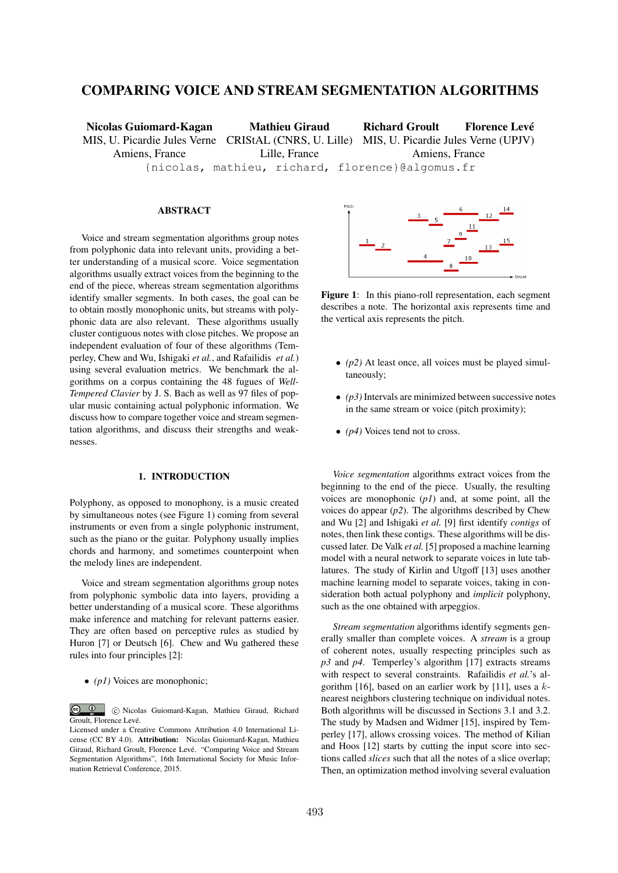# COMPARING VOICE AND STREAM SEGMENTATION ALGORITHMS

Nicolas Guiomard-Kagan MIS, U. Picardie Jules Verne CRIStAL (CNRS, U. Lille) MIS, U. Picardie Jules Verne (UPJV) Amiens, France Mathieu Giraud Lille, France Richard Groult Florence Levé Amiens, France {nicolas, mathieu, richard, florence}@algomus.fr

# ABSTRACT

Voice and stream segmentation algorithms group notes from polyphonic data into relevant units, providing a better understanding of a musical score. Voice segmentation algorithms usually extract voices from the beginning to the end of the piece, whereas stream segmentation algorithms identify smaller segments. In both cases, the goal can be to obtain mostly monophonic units, but streams with polyphonic data are also relevant. These algorithms usually cluster contiguous notes with close pitches. We propose an independent evaluation of four of these algorithms (Temperley, Chew and Wu, Ishigaki *et al.*, and Rafailidis *et al.*) using several evaluation metrics. We benchmark the algorithms on a corpus containing the 48 fugues of *Well-Tempered Clavier* by J. S. Bach as well as 97 files of popular music containing actual polyphonic information. We discuss how to compare together voice and stream segmentation algorithms, and discuss their strengths and weaknesses.

# 1. INTRODUCTION

Polyphony, as opposed to monophony, is a music created by simultaneous notes (see Figure 1) coming from several instruments or even from a single polyphonic instrument, such as the piano or the guitar. Polyphony usually implies chords and harmony, and sometimes counterpoint when the melody lines are independent.

Voice and stream segmentation algorithms group notes from polyphonic symbolic data into layers, providing a better understanding of a musical score. These algorithms make inference and matching for relevant patterns easier. They are often based on perceptive rules as studied by Huron [7] or Deutsch [6]. Chew and Wu gathered these rules into four principles [2]:

*• (p1)* Voices are monophonic;



Figure 1: In this piano-roll representation, each segment describes a note. The horizontal axis represents time and the vertical axis represents the pitch.

- *• (p2)* At least once, all voices must be played simultaneously;
- *• (p3)* Intervals are minimized between successive notes in the same stream or voice (pitch proximity);
- *• (p4)* Voices tend not to cross.

*Voice segmentation* algorithms extract voices from the beginning to the end of the piece. Usually, the resulting voices are monophonic (*p1*) and, at some point, all the voices do appear  $(p2)$ . The algorithms described by Chew and Wu [2] and Ishigaki *et al.* [9] first identify *contigs* of notes, then link these contigs. These algorithms will be discussed later. De Valk *et al.* [5] proposed a machine learning model with a neural network to separate voices in lute tablatures. The study of Kirlin and Utgoff [13] uses another machine learning model to separate voices, taking in consideration both actual polyphony and *implicit* polyphony, such as the one obtained with arpeggios.

*Stream segmentation* algorithms identify segments generally smaller than complete voices. A *stream* is a group of coherent notes, usually respecting principles such as *p3* and *p4*. Temperley's algorithm [17] extracts streams with respect to several constraints. Rafailidis *et al.*'s algorithm [16], based on an earlier work by [11], uses a *k*nearest neighbors clustering technique on individual notes. Both algorithms will be discussed in Sections 3.1 and 3.2. The study by Madsen and Widmer [15], inspired by Temperley [17], allows crossing voices. The method of Kilian and Hoos [12] starts by cutting the input score into sections called *slices* such that all the notes of a slice overlap; Then, an optimization method involving several evaluation

**c**  $\overline{u}$   $\overline{v}$   $\overline{v}$   $\overline{v}$  Nicolas Guiomard-Kagan, Mathieu Giraud, Richard Groult, Florence Levé.

Licensed under a Creative Commons Attribution 4.0 International License (CC BY 4.0). Attribution: Nicolas Guiomard-Kagan, Mathieu Giraud, Richard Groult, Florence Levé. "Comparing Voice and Stream Segmentation Algorithms", 16th International Society for Music Information Retrieval Conference, 2015.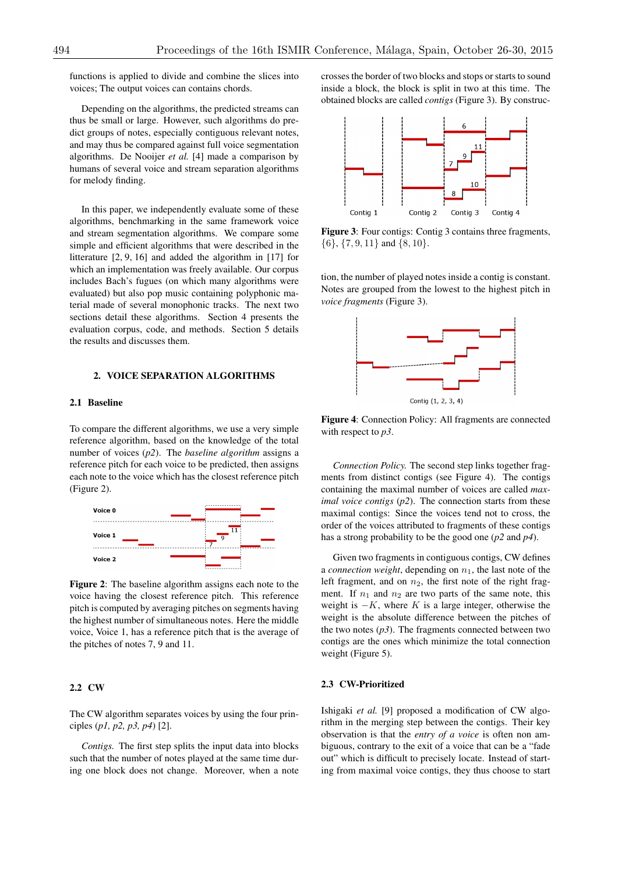functions is applied to divide and combine the slices into voices; The output voices can contains chords.

Depending on the algorithms, the predicted streams can thus be small or large. However, such algorithms do predict groups of notes, especially contiguous relevant notes, and may thus be compared against full voice segmentation algorithms. De Nooijer *et al.* [4] made a comparison by humans of several voice and stream separation algorithms for melody finding.

In this paper, we independently evaluate some of these algorithms, benchmarking in the same framework voice and stream segmentation algorithms. We compare some simple and efficient algorithms that were described in the litterature [2, 9, 16] and added the algorithm in [17] for which an implementation was freely available. Our corpus includes Bach's fugues (on which many algorithms were evaluated) but also pop music containing polyphonic material made of several monophonic tracks. The next two sections detail these algorithms. Section 4 presents the evaluation corpus, code, and methods. Section 5 details the results and discusses them.

# 2. VOICE SEPARATION ALGORITHMS

# 2.1 Baseline

To compare the different algorithms, we use a very simple reference algorithm, based on the knowledge of the total number of voices (*p2*). The *baseline algorithm* assigns a reference pitch for each voice to be predicted, then assigns each note to the voice which has the closest reference pitch (Figure 2).



Figure 2: The baseline algorithm assigns each note to the voice having the closest reference pitch. This reference pitch is computed by averaging pitches on segments having the highest number of simultaneous notes. Here the middle voice, Voice 1, has a reference pitch that is the average of the pitches of notes 7, 9 and 11.

# 2.2 CW

The CW algorithm separates voices by using the four principles (*p1, p2, p3, p4*) [2].

*Contigs.* The first step splits the input data into blocks such that the number of notes played at the same time during one block does not change. Moreover, when a note crosses the border of two blocks and stops or starts to sound inside a block, the block is split in two at this time. The obtained blocks are called *contigs* (Figure 3). By construc-



Figure 3: Four contigs: Contig 3 contains three fragments, *{*6*}*, *{*7*,* 9*,* 11*}* and *{*8*,* 10*}*.

tion, the number of played notes inside a contig is constant. Notes are grouped from the lowest to the highest pitch in *voice fragments* (Figure 3).



Figure 4: Connection Policy: All fragments are connected with respect to *p3*.

*Connection Policy.* The second step links together fragments from distinct contigs (see Figure 4). The contigs containing the maximal number of voices are called *maximal voice contigs* (*p2*). The connection starts from these maximal contigs: Since the voices tend not to cross, the order of the voices attributed to fragments of these contigs has a strong probability to be the good one (*p2* and *p4*).

Given two fragments in contiguous contigs, CW defines a *connection weight*, depending on  $n_1$ , the last note of the left fragment, and on  $n_2$ , the first note of the right fragment. If  $n_1$  and  $n_2$  are two parts of the same note, this weight is  $-K$ , where *K* is a large integer, otherwise the weight is the absolute difference between the pitches of the two notes  $(p3)$ . The fragments connected between two contigs are the ones which minimize the total connection weight (Figure 5).

## 2.3 CW-Prioritized

Ishigaki *et al.* [9] proposed a modification of CW algorithm in the merging step between the contigs. Their key observation is that the *entry of a voice* is often non ambiguous, contrary to the exit of a voice that can be a "fade out" which is difficult to precisely locate. Instead of starting from maximal voice contigs, they thus choose to start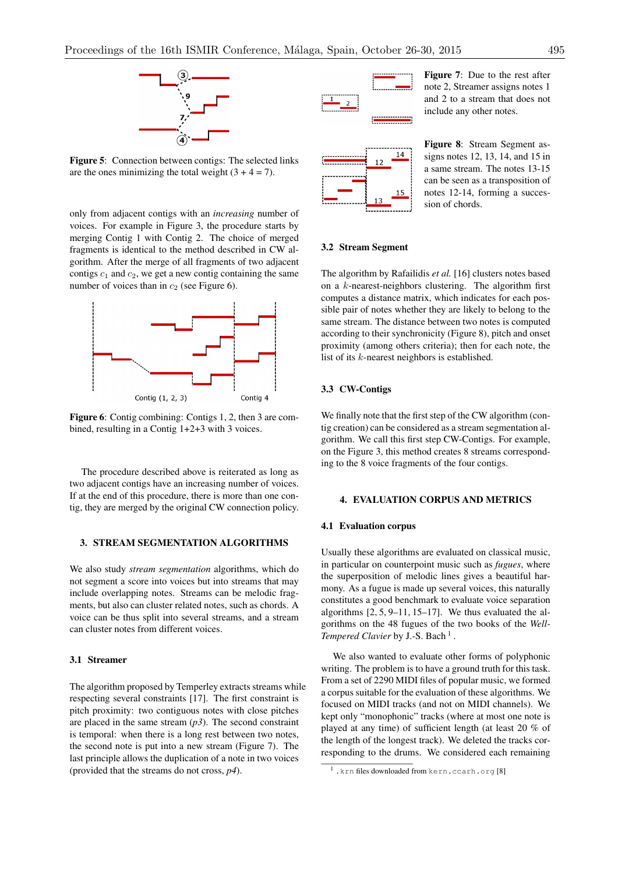

Figure 5: Connection between contigs: The selected links are the ones minimizing the total weight  $(3 + 4 = 7)$ .

only from adjacent contigs with an *increasing* number of voices. For example in Figure 3, the procedure starts by merging Contig 1 with Contig 2. The choice of merged fragments is identical to the method described in CW algorithm. After the merge of all fragments of two adjacent contigs  $c_1$  and  $c_2$ , we get a new contig containing the same number of voices than in  $c_2$  (see Figure 6).



Figure 6: Contig combining: Contigs 1, 2, then 3 are combined, resulting in a Contig 1+2+3 with 3 voices.

The procedure described above is reiterated as long as two adjacent contigs have an increasing number of voices. If at the end of this procedure, there is more than one contig, they are merged by the original CW connection policy.

## 3. STREAM SEGMENTATION ALGORITHMS

We also study *stream segmentation* algorithms, which do not segment a score into voices but into streams that may include overlapping notes. Streams can be melodic fragments, but also can cluster related notes, such as chords. A voice can be thus split into several streams, and a stream can cluster notes from different voices.

#### 3.1 Streamer

The algorithm proposed by Temperley extracts streams while respecting several constraints [17]. The first constraint is pitch proximity: two contiguous notes with close pitches are placed in the same stream  $(p3)$ . The second constraint is temporal: when there is a long rest between two notes, the second note is put into a new stream (Figure 7). The last principle allows the duplication of a note in two voices (provided that the streams do not cross, *p4*).





Figure 7: Due to the rest after note 2, Streamer assigns notes 1 and 2 to a stream that does not include any other notes.

Figure 8: Stream Segment assigns notes 12, 13, 14, and 15 in a same stream. The notes 13-15 can be seen as a transposition of notes 12-14, forming a succession of chords.

## 3.2 Stream Segment

The algorithm by Rafailidis *et al.* [16] clusters notes based on a *k*-nearest-neighbors clustering. The algorithm first computes a distance matrix, which indicates for each possible pair of notes whether they are likely to belong to the same stream. The distance between two notes is computed according to their synchronicity (Figure 8), pitch and onset proximity (among others criteria); then for each note, the list of its *k*-nearest neighbors is established.

# 3.3 CW-Contigs

We finally note that the first step of the CW algorithm (contig creation) can be considered as a stream segmentation algorithm. We call this first step CW-Contigs. For example, on the Figure 3, this method creates 8 streams corresponding to the 8 voice fragments of the four contigs.

#### 4. EVALUATION CORPUS AND METRICS

## 4.1 Evaluation corpus

Usually these algorithms are evaluated on classical music, in particular on counterpoint music such as *fugues*, where the superposition of melodic lines gives a beautiful harmony. As a fugue is made up several voices, this naturally constitutes a good benchmark to evaluate voice separation algorithms [2, 5, 9–11, 15–17]. We thus evaluated the algorithms on the 48 fugues of the two books of the *Well-Tempered Clavier* by J.-S. Bach<sup>1</sup>.

We also wanted to evaluate other forms of polyphonic writing. The problem is to have a ground truth for this task. From a set of 2290 MIDI files of popular music, we formed a corpus suitable for the evaluation of these algorithms. We focused on MIDI tracks (and not on MIDI channels). We kept only "monophonic" tracks (where at most one note is played at any time) of sufficient length (at least 20 % of the length of the longest track). We deleted the tracks corresponding to the drums. We considered each remaining

<sup>1.</sup>krn files downloaded from kern.ccarh.org [8]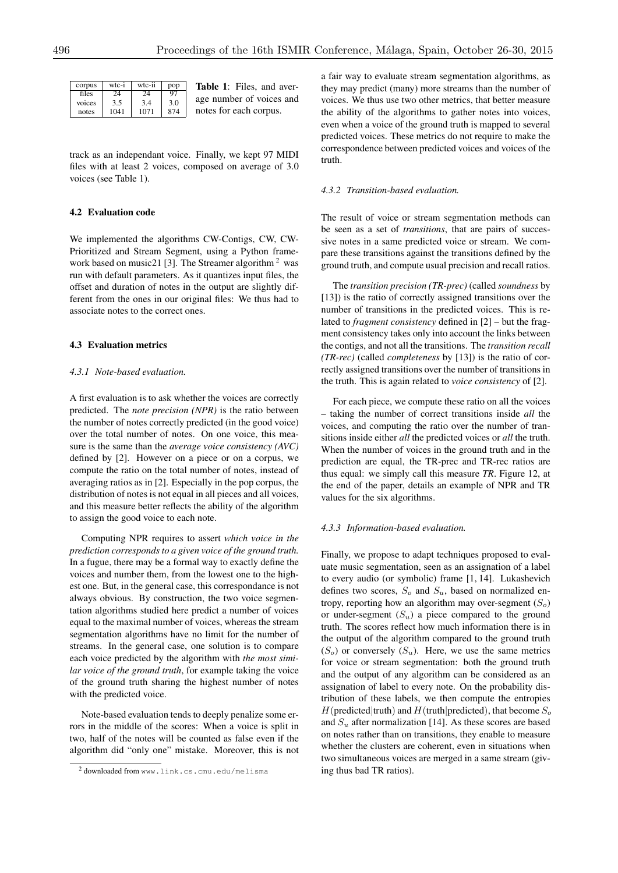| corpus | wtc-i | wtc-ii | pop |
|--------|-------|--------|-----|
| files  | 24    | 24     | 97  |
| voices | 3.5   | 3.4    | 3.0 |
| notes  | 1041  | 1071   | 874 |

Table 1: Files, and average number of voices and notes for each corpus.

track as an independant voice. Finally, we kept 97 MIDI files with at least 2 voices, composed on average of 3.0 voices (see Table 1).

# 4.2 Evaluation code

We implemented the algorithms CW-Contigs, CW, CW-Prioritized and Stream Segment, using a Python framework based on music21 [3]. The Streamer algorithm  $2$  was run with default parameters. As it quantizes input files, the offset and duration of notes in the output are slightly different from the ones in our original files: We thus had to associate notes to the correct ones.

## 4.3 Evaluation metrics

#### *4.3.1 Note-based evaluation.*

A first evaluation is to ask whether the voices are correctly predicted. The *note precision (NPR)* is the ratio between the number of notes correctly predicted (in the good voice) over the total number of notes. On one voice, this measure is the same than the *average voice consistency (AVC)* defined by [2]. However on a piece or on a corpus, we compute the ratio on the total number of notes, instead of averaging ratios as in [2]. Especially in the pop corpus, the distribution of notes is not equal in all pieces and all voices, and this measure better reflects the ability of the algorithm to assign the good voice to each note.

Computing NPR requires to assert *which voice in the prediction corresponds to a given voice of the ground truth.* In a fugue, there may be a formal way to exactly define the voices and number them, from the lowest one to the highest one. But, in the general case, this correspondance is not always obvious. By construction, the two voice segmentation algorithms studied here predict a number of voices equal to the maximal number of voices, whereas the stream segmentation algorithms have no limit for the number of streams. In the general case, one solution is to compare each voice predicted by the algorithm with *the most similar voice of the ground truth*, for example taking the voice of the ground truth sharing the highest number of notes with the predicted voice.

Note-based evaluation tends to deeply penalize some errors in the middle of the scores: When a voice is split in two, half of the notes will be counted as false even if the algorithm did "only one" mistake. Moreover, this is not

a fair way to evaluate stream segmentation algorithms, as they may predict (many) more streams than the number of voices. We thus use two other metrics, that better measure the ability of the algorithms to gather notes into voices, even when a voice of the ground truth is mapped to several predicted voices. These metrics do not require to make the correspondence between predicted voices and voices of the truth.

#### *4.3.2 Transition-based evaluation.*

The result of voice or stream segmentation methods can be seen as a set of *transitions*, that are pairs of successive notes in a same predicted voice or stream. We compare these transitions against the transitions defined by the ground truth, and compute usual precision and recall ratios.

The *transition precision (TR-prec)* (called *soundness* by [13]) is the ratio of correctly assigned transitions over the number of transitions in the predicted voices. This is related to *fragment consistency* defined in [2] – but the fragment consistency takes only into account the links between the contigs, and not all the transitions. The *transition recall (TR-rec)* (called *completeness* by [13]) is the ratio of correctly assigned transitions over the number of transitions in the truth. This is again related to *voice consistency* of [2].

For each piece, we compute these ratio on all the voices – taking the number of correct transitions inside *all* the voices, and computing the ratio over the number of transitions inside either *all* the predicted voices or *all* the truth. When the number of voices in the ground truth and in the prediction are equal, the TR-prec and TR-rec ratios are thus equal: we simply call this measure *TR*. Figure 12, at the end of the paper, details an example of NPR and TR values for the six algorithms.

#### *4.3.3 Information-based evaluation.*

Finally, we propose to adapt techniques proposed to evaluate music segmentation, seen as an assignation of a label to every audio (or symbolic) frame [1, 14]. Lukashevich defines two scores, *S<sup>o</sup>* and *Su*, based on normalized entropy, reporting how an algorithm may over-segment (*So*) or under-segment  $(S_u)$  a piece compared to the ground truth. The scores reflect how much information there is in the output of the algorithm compared to the ground truth  $(S<sub>o</sub>)$  or conversely  $(S<sub>u</sub>)$ . Here, we use the same metrics for voice or stream segmentation: both the ground truth and the output of any algorithm can be considered as an assignation of label to every note. On the probability distribution of these labels, we then compute the entropies  $H$ (predicted|truth) and  $H$ (truth|predicted), that become  $S$ <sup>o</sup> and  $S<sub>u</sub>$  after normalization [14]. As these scores are based on notes rather than on transitions, they enable to measure whether the clusters are coherent, even in situations when two simultaneous voices are merged in a same stream (giving thus bad TR ratios).

<sup>2</sup> downloaded from www.link.cs.cmu.edu/melisma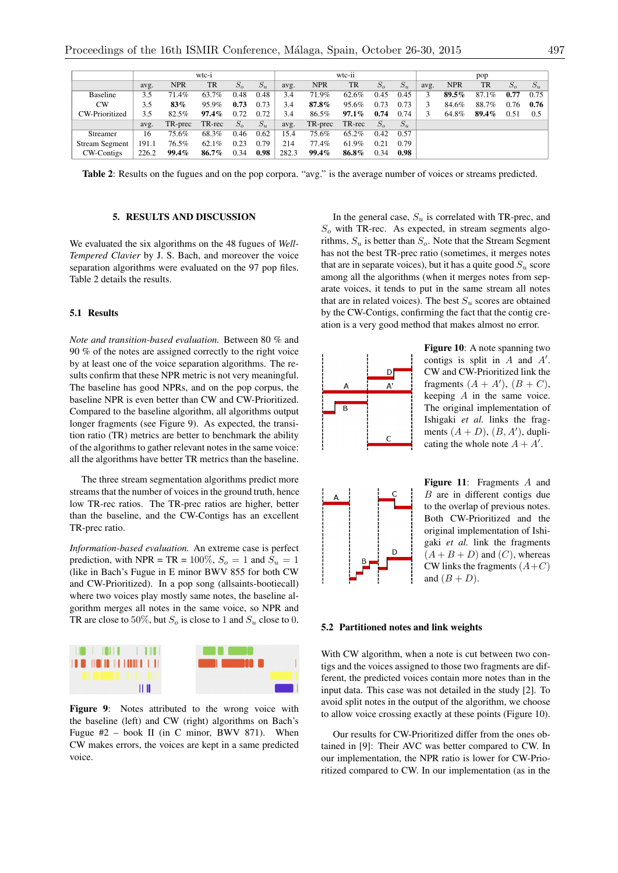|                       | wtc-i |            |           |              | wtc-ii |       |            |          | pop          |             |      |            |           |              |       |
|-----------------------|-------|------------|-----------|--------------|--------|-------|------------|----------|--------------|-------------|------|------------|-----------|--------------|-------|
|                       | avg.  | <b>NPR</b> | <b>TR</b> | $S_{\alpha}$ | $S_u$  | avg.  | <b>NPR</b> | TR       | $S_{\alpha}$ | $S_{\rm u}$ | avg. | <b>NPR</b> | <b>TR</b> | $S_{\alpha}$ | $S_u$ |
| <b>Baseline</b>       | 3.5   | 71.4%      | 63.7%     | 0.48         | 0.48   | 3.4   | 71.9%      | 62.6%    | 0.45         | 0.45        |      | 89.5%      | 87.1%     | 0.77         | 0.75  |
| <b>CW</b>             | 3.5   | $83\%$     | 95.9%     | 0.73         | 0.73   | 3.4   | 87.8%      | 95.6%    | 0.73         | 0.73        |      | 84.6%      | 88.7%     | 0.76         | 0.76  |
| CW-Prioritized        | 3.5   | 82.5%      | $97.4\%$  | 0.72         | 0.72   | 3.4   | 86.5%      | $97.1\%$ | 0.74         | 0.74        | 3.   | 64.8%      | 89.4%     | 0.51         | 0.5   |
|                       | avg.  | TR-prec    | TR-rec    | $S_{\alpha}$ | $S_u$  | avg.  | TR-prec    | TR-rec   | $S_{\alpha}$ | $S_u$       |      |            |           |              |       |
| Streamer              | 16    | 75.6%      | 68.3%     | 0.46         | 0.62   | 15.4  | 75.6%      | 65.2%    | 0.42         | 0.57        |      |            |           |              |       |
| <b>Stream Segment</b> | 191.1 | 76.5%      | 62.1%     | 0.23         | 0.79   | 214   | 77.4%      | 61.9%    | 0.21         | 0.79        |      |            |           |              |       |
| CW-Contigs            | 226.2 | 99.4%      | 86.7%     | 0.34         | 0.98   | 282.3 | 99.4%      | 86.8%    | 0.34         | 0.98        |      |            |           |              |       |

Table 2: Results on the fugues and on the pop corpora. "avg." is the average number of voices or streams predicted.

# 5. RESULTS AND DISCUSSION

We evaluated the six algorithms on the 48 fugues of *Well-Tempered Clavier* by J. S. Bach, and moreover the voice separation algorithms were evaluated on the 97 pop files. Table 2 details the results.

## 5.1 Results

*Note and transition-based evaluation.* Between 80 % and 90 % of the notes are assigned correctly to the right voice by at least one of the voice separation algorithms. The results confirm that these NPR metric is not very meaningful. The baseline has good NPRs, and on the pop corpus, the baseline NPR is even better than CW and CW-Prioritized. Compared to the baseline algorithm, all algorithms output longer fragments (see Figure 9). As expected, the transition ratio (TR) metrics are better to benchmark the ability of the algorithms to gather relevant notes in the same voice: all the algorithms have better TR metrics than the baseline.

The three stream segmentation algorithms predict more streams that the number of voices in the ground truth, hence low TR-rec ratios. The TR-prec ratios are higher, better than the baseline, and the CW-Contigs has an excellent TR-prec ratio.

*Information-based evaluation.* An extreme case is perfect prediction, with NPR = TR =  $100\%$ ,  $S_o = 1$  and  $S_u = 1$ (like in Bach's Fugue in E minor BWV 855 for both CW and CW-Prioritized). In a pop song (allsaints-bootiecall) where two voices play mostly same notes, the baseline algorithm merges all notes in the same voice, so NPR and TR are close to 50%, but  $S_0$  is close to 1 and  $S_u$  close to 0.



Figure 9: Notes attributed to the wrong voice with the baseline (left) and CW (right) algorithms on Bach's Fugue  $#2$  – book II (in C minor, BWV 871). When CW makes errors, the voices are kept in a same predicted voice.

In the general case, *S<sup>u</sup>* is correlated with TR-prec, and *S<sup>o</sup>* with TR-rec. As expected, in stream segments algorithms,  $S_u$  is better than  $S_o$ . Note that the Stream Segment has not the best TR-prec ratio (sometimes, it merges notes that are in separate voices), but it has a quite good  $S_u$  score among all the algorithms (when it merges notes from separate voices, it tends to put in the same stream all notes that are in related voices). The best  $S_u$  scores are obtained by the CW-Contigs, confirming the fact that the contig creation is a very good method that makes almost no error.



Figure 10: A note spanning two contigs is split in  $A$  and  $A'$ . CW and CW-Prioritized link the fragments  $(A + A')$ ,  $(B + C)$ , keeping *A* in the same voice. The original implementation of Ishigaki *et al.* links the fragments  $(A + D)$ ,  $(B, A')$ , duplicating the whole note  $A + A'$ .



Figure 11: Fragments *A* and *B* are in different contigs due to the overlap of previous notes. Both CW-Prioritized and the original implementation of Ishigaki *et al.* link the fragments  $(A + B + D)$  and  $(C)$ , whereas CW links the fragments  $(A+C)$ and  $(B + D)$ .

#### 5.2 Partitioned notes and link weights

With CW algorithm, when a note is cut between two contigs and the voices assigned to those two fragments are different, the predicted voices contain more notes than in the input data. This case was not detailed in the study [2]. To avoid split notes in the output of the algorithm, we choose to allow voice crossing exactly at these points (Figure 10).

Our results for CW-Prioritized differ from the ones obtained in [9]: Their AVC was better compared to CW. In our implementation, the NPR ratio is lower for CW-Prioritized compared to CW. In our implementation (as in the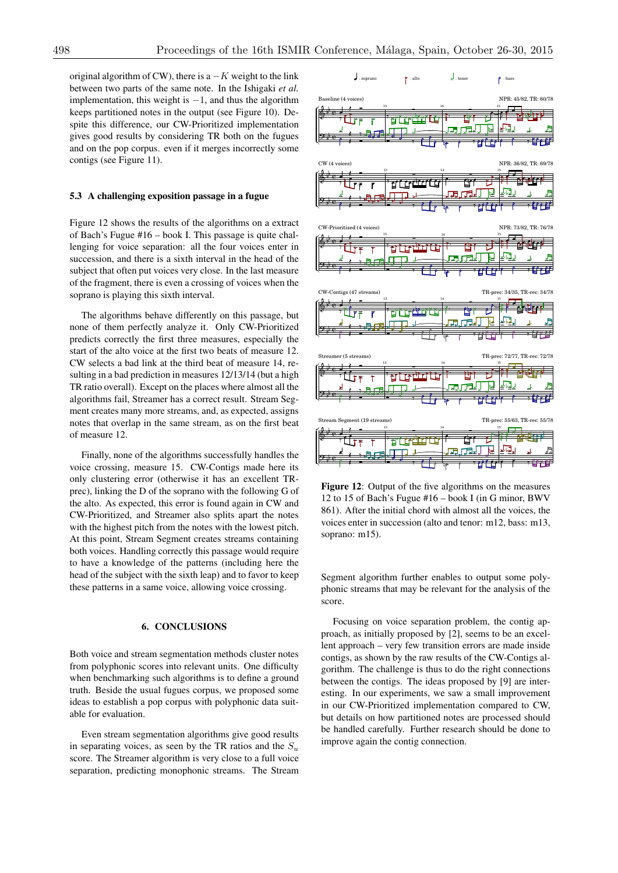original algorithm of CW), there is  $a - K$  weight to the link between two parts of the same note. In the Ishigaki *et al.* implementation, this weight is  $-1$ , and thus the algorithm keeps partitioned notes in the output (see Figure 10). Despite this difference, our CW-Prioritized implementation gives good results by considering TR both on the fugues and on the pop corpus. even if it merges incorrectly some contigs (see Figure 11).

#### 5.3 A challenging exposition passage in a fugue

Figure 12 shows the results of the algorithms on a extract of Bach's Fugue #16 – book I. This passage is quite challenging for voice separation: all the four voices enter in succession, and there is a sixth interval in the head of the subject that often put voices very close. In the last measure of the fragment, there is even a crossing of voices when the soprano is playing this sixth interval.

The algorithms behave differently on this passage, but none of them perfectly analyze it. Only CW-Prioritized predicts correctly the first three measures, especially the start of the alto voice at the first two beats of measure 12. CW selects a bad link at the third beat of measure 14, resulting in a bad prediction in measures 12/13/14 (but a high TR ratio overall). Except on the places where almost all the algorithms fail, Streamer has a correct result. Stream Segment creates many more streams, and, as expected, assigns notes that overlap in the same stream, as on the first beat of measure 12.

Finally, none of the algorithms successfully handles the voice crossing, measure 15. CW-Contigs made here its only clustering error (otherwise it has an excellent TRprec), linking the D of the soprano with the following G of the alto. As expected, this error is found again in CW and CW-Prioritized, and Streamer also splits apart the notes with the highest pitch from the notes with the lowest pitch. At this point, Stream Segment creates streams containing both voices. Handling correctly this passage would require to have a knowledge of the patterns (including here the head of the subject with the sixth leap) and to favor to keep these patterns in a same voice, allowing voice crossing.

## 6. CONCLUSIONS

Both voice and stream segmentation methods cluster notes from polyphonic scores into relevant units. One difficulty when benchmarking such algorithms is to define a ground truth. Beside the usual fugues corpus, we proposed some ideas to establish a pop corpus with polyphonic data suitable for evaluation.

Even stream segmentation algorithms give good results in separating voices, as seen by the TR ratios and the  $S_u$ score. The Streamer algorithm is very close to a full voice separation, predicting monophonic streams. The Stream



Figure 12: Output of the five algorithms on the measures 12 to 15 of Bach's Fugue #16 – book I (in G minor, BWV 861). After the initial chord with almost all the voices, the voices enter in succession (alto and tenor: m12, bass: m13, soprano: m15).

Segment algorithm further enables to output some polyphonic streams that may be relevant for the analysis of the score.

Focusing on voice separation problem, the contig approach, as initially proposed by [2], seems to be an excellent approach – very few transition errors are made inside contigs, as shown by the raw results of the CW-Contigs algorithm. The challenge is thus to do the right connections between the contigs. The ideas proposed by [9] are interesting. In our experiments, we saw a small improvement in our CW-Prioritized implementation compared to CW, but details on how partitioned notes are processed should be handled carefully. Further research should be done to improve again the contig connection.